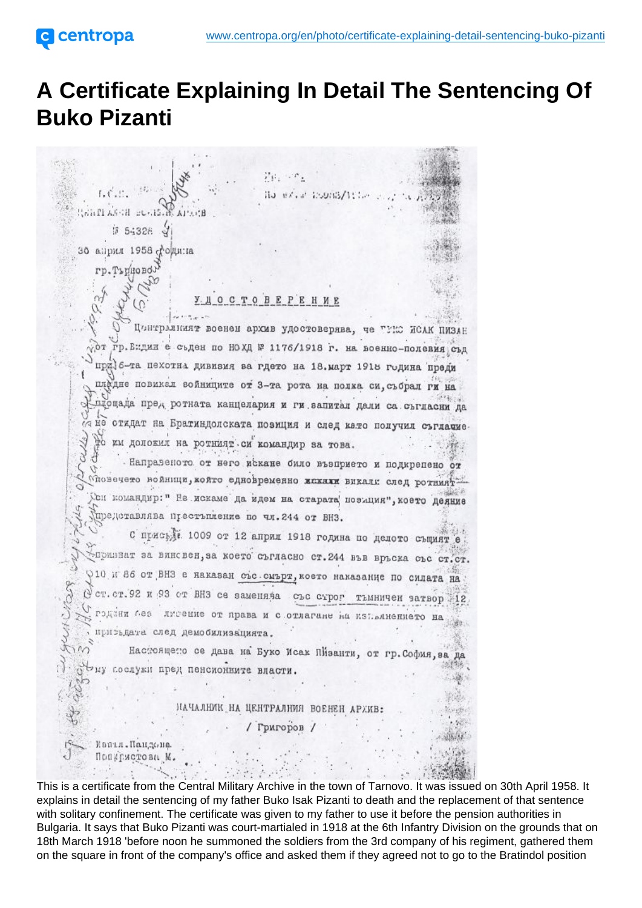## A Certificate Explaining In Detail The Sentencing Of Buko Pizanti

This is a certificate from the Central Military Archive in the town of Tarnovo. It was issued on 30th April 1958. It explains in detail the sentencing of my father Buko Isak Pizanti to death and the replacement of that sentence with solitary confinement. The certificate was given to my father to use it before the pension authorities in Bulgaria. It says that Buko Pizanti was court-martialed in 1918 at the 6th Infantry Division on the grounds that on 18th March 1918 'before noon he summoned the soldiers from the 3rd company of his regiment, gathered them on the square in front of the company's office and asked them if they agreed not to go to the Bratindol position